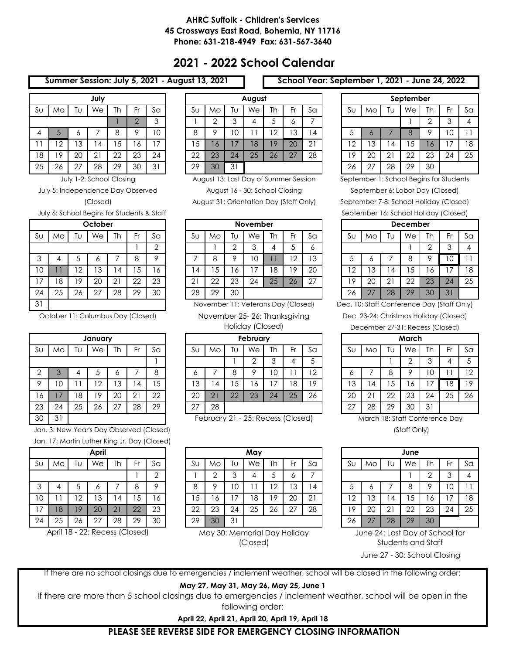## **AHRC Suffolk - Children's Services 45 Crossways East Road, Bohemia, NY 11716 Phone: 631-218-4949 Fax: 631-567-3640**

# **2021 - 2022 School Calendar**

### **Summer Session: July 5, 2021 - August 13, 2021 School Year: September 1, 2021 - June 24, 2022**

|         |    |    | July |    |                |    |
|---------|----|----|------|----|----------------|----|
| $S_{U}$ | Mo | Tυ | We   | Th | Fr             | Sa |
|         |    |    |      |    | $\overline{2}$ | 3  |
| 4       | 5  | 6  |      | 8  | 9              | 10 |
| 11      | 12 | 13 | 14   | 15 | 16             | 17 |
| 18      | 19 | 20 | 21   | 22 | 23             | 24 |
| 25      | 26 | 27 | 28   | 29 | 30             | 31 |

(Closed) July 5: Independence Day Observed

July 6: School Begins for Students & Staff

|                |    |    | October |    |    |    |
|----------------|----|----|---------|----|----|----|
| S <sub>U</sub> | Mo | Tυ | We      | Th | Fr | Sa |
|                |    |    |         |    |    | 2  |
| 3              | 4  | 5  | 6       | 7  | 8  | 9  |
| 10             |    | 12 | 13      | 14 | 15 | 16 |
| 17             | 18 | 19 | 20      | 21 | 22 | 23 |
| 24             | 25 | 26 | 27      | 28 | 29 | 30 |
| 31             |    |    |         |    |    |    |

October 11: Columbus Day (Closed)

| January      |    |    |    |    |    |    |  |  |  |  |  |  |  |
|--------------|----|----|----|----|----|----|--|--|--|--|--|--|--|
| $S_{U}$      | Mo | Tυ | We | Th | Fr | Sa |  |  |  |  |  |  |  |
|              |    |    |    |    |    |    |  |  |  |  |  |  |  |
| $\mathbf{2}$ | 3  | 4  | 5  | 6  | 7  | 8  |  |  |  |  |  |  |  |
| 9            | 10 | 11 | 12 | 13 | 14 | 15 |  |  |  |  |  |  |  |
| 16           | 17 | 18 | 19 | 20 | 21 | 22 |  |  |  |  |  |  |  |
| 23           | 24 | 25 | 26 | 27 | 28 | 29 |  |  |  |  |  |  |  |
| 30           | 31 |    |    |    |    |    |  |  |  |  |  |  |  |

Jan. 3: New Year's Day Observed (Closed) and the state of the state of the state of the state of the state of the state of the state of the state of the state of the state of the state of the state of the state of the stat Jan. 17: Martin Luther King Jr. Day (Closed)

|         | April |    |    |    |    |                |  |  |  |  |  |  |  |  |
|---------|-------|----|----|----|----|----------------|--|--|--|--|--|--|--|--|
| $S_{U}$ | Mo    | Tυ | We | Th | Fr | Sa             |  |  |  |  |  |  |  |  |
|         |       |    |    |    |    | $\overline{2}$ |  |  |  |  |  |  |  |  |
| 3       |       | 5  | 6  |    | 8  | 9              |  |  |  |  |  |  |  |  |
| 10      | 11    | 12 | 13 | 14 | 15 | 16             |  |  |  |  |  |  |  |  |
| 17      | 18    | 19 | 20 | 21 | 22 | 23             |  |  |  |  |  |  |  |  |
| 24      | 25    | 26 | 27 | 28 | 29 | 30             |  |  |  |  |  |  |  |  |

April 18 - 22: Recess (Closed)

|    |              |    | July           |           |        |         |    |     |    | August |        |                             |                  |                |        |         | September |     |      |    |
|----|--------------|----|----------------|-----------|--------|---------|----|-----|----|--------|--------|-----------------------------|------------------|----------------|--------|---------|-----------|-----|------|----|
| Sυ | MO           | U  | We             | <b>Th</b> |        | Sa      | Sυ | Mo  | ΙU | We     | Th     | ۰.                          | Sa               | Sυ             | MO     | Tυ      | We        | Th  | - Fr | Sa |
|    |              |    |                |           | $\cap$ | ◠<br>J. |    |     | ⌒  |        | $\sim$ | O                           |                  |                |        |         |           |     | ╭    | 4  |
| 4  |              | O  |                |           |        | 10      | 8  |     | 10 |        | $\sim$ | Ι3                          | 4                | ◡              |        |         | 8         |     | ΙU   |    |
|    | 2            | 13 | 4              | .5        | O      |         | 15 | l O |    | 18     | 19     | 20                          | $\bigcap$ 1<br>∠ | $\overline{2}$ | 3      | 4       | Ċ         | l O |      | 18 |
| 18 | 9            | 20 | 2 <sup>1</sup> | 22        | 23     | 24      | 22 | 23  | 24 | 25     | 26     | $\sqrt{7}$<br>$\mathcal{L}$ | 28               | 19             | 20     | ົາ<br>∠ | 22        | 23  | 24   | 25 |
| 25 | $\sim$<br>26 | n7 | 28             | 29        | 30     | 31      | 29 | 30  | 31 |        |        |                             |                  | 26             | $\sim$ | 28      | 29        | 30  |      |    |

July 1-2: School Closing August 13: Last Day of Summer Session

August 16 - 30: School Closing

August 31: Orientation Day (Staff Only)

|    |    |         | October                   |                   |    |                |               |    |    | <b>November</b> |                  |                |        |              |    |             | <b>December</b> |         |    |    |
|----|----|---------|---------------------------|-------------------|----|----------------|---------------|----|----|-----------------|------------------|----------------|--------|--------------|----|-------------|-----------------|---------|----|----|
| Sυ | Mo | U       | We                        | <b>Th</b>         | ٠. | S <sub>G</sub> | Sυ            | Mo | Īυ | We              | <b>Th</b><br>. . |                | Sa     | Sυ           | MO | Tυ          | We              | Th      | Fr | Sa |
|    |    |         |                           |                   |    | $\sim$         |               |    | ⌒  |                 |                  |                |        |              |    |             |                 |         |    | 4  |
| 3  |    |         | o                         |                   |    | ∩              |               | C  |    | U               |                  | $\overline{2}$ | 13     | J            |    |             | 8               |         | U  |    |
| 10 |    | ി<br>∸  | ⌒<br>$\ddot{\phantom{0}}$ | 4                 | C  | $\circ$        | 4             | ◡  | 6  |                 | 8                | 19             | 20     | 12           | 3  | 4           | 5               | $\circ$ |    | 18 |
| 17 | 8  | $\circ$ | 20                        | $\bigcap$ 1<br>∠⊣ | 22 | 23             | $\cap$ 1<br>∠ | 22 | 23 | 24              | 25               | 26             | $\cap$ | 9            | 20 | $2^{\circ}$ | 22              | 23      | 24 | 25 |
| 24 | 25 | 26      | - 27                      | 28                | 29 | 30             | 28            | 29 | 30 |                 |                  |                |        | $\sim$<br>26 |    | 28          | 29              | 30      | 31 |    |

November 11: Veterans Day (Closed)

November 25- 26: Thanksgiving

Holiday (Closed)

|               |                |    | January  |                 |                 |                |               |    |     | February |                               |     |         |    |          |    | March |    |     |    |
|---------------|----------------|----|----------|-----------------|-----------------|----------------|---------------|----|-----|----------|-------------------------------|-----|---------|----|----------|----|-------|----|-----|----|
| Sυ            | Mo.            | Ū  | We       | <b>Th</b>       | ۰.              | S <sub>G</sub> | Sυ            | Mo | ΓU  | We       | Th                            | - r | Sa      | Su | Mo       | Tυ | We    | Th | -Fr | Sa |
|               |                |    |          |                 |                 |                |               |    |     |          | ⌒<br>$\overline{\phantom{0}}$ | ∸   |         |    |          |    | ⌒     |    |     | ა  |
| $\Omega$<br>∠ |                |    | J        |                 |                 | 8              |               |    | Ŏ   |          | $\cap$<br>◡                   |     | 10<br>∸ | O  |          | 8  | O     | 0  |     | 12 |
| 9             | 0              |    | າ ດ<br>∠ | 3               | 4               | 5<br>◡         | 13            | ᅭ  | . 5 | $\circ$  |                               | 8   | 19      | 13 | 4        | J  | 6     |    | 18  | 19 |
| 16            | $\overline{7}$ | 18 | 19       | 20              | $\Omega$ 1<br>∠ | 22             | 20            | 21 | 22  | 23       | 24                            | 25  | 26      | 20 | <u>.</u> | 22 | 23    | 24 | 25  | 26 |
| 23            | 24             | 25 | 26       | ገ 7<br><u>_</u> | 28              | 29             | $\sim$<br>Ź., | 28 |     |          |                               |     |         | 27 | 28       | 29 | 30    | 31 |     |    |

February 21 - 25: Recess (Closed)

|    |        |                | April              |                |           |               |    |              |    | May                                                                                                   |     |    |    |    |     |    | June |    |                                                                |    |
|----|--------|----------------|--------------------|----------------|-----------|---------------|----|--------------|----|-------------------------------------------------------------------------------------------------------|-----|----|----|----|-----|----|------|----|----------------------------------------------------------------|----|
| Sυ | Mo.    | Īυ             | We                 | Th             | <b>Fr</b> | Sa            | Sυ | Mo           | Tυ | We                                                                                                    | Th  | ć٢ | Sa | Sυ | Mo. | Tυ | We   | Τh | - Fr                                                           | Sa |
|    |        |                |                    |                |           | $\Omega$<br>∠ |    |              |    |                                                                                                       | k.  | o  |    |    |     |    |      |    |                                                                | 4  |
| 3  |        |                | O                  |                |           | o             | 8  |              | 10 |                                                                                                       | ה ו | 13 | 4  | ◡  |     |    | 8    |    | 10                                                             |    |
| 10 |        | $\overline{2}$ | 13                 | $\overline{4}$ | . 5       | 16            | 15 | <sup>6</sup> | 7  | 18                                                                                                    | 19  | 20 | 21 | 12 | . 3 | 4  | 5    | Ô  |                                                                | 18 |
| 17 | 18     | 19             | 20                 | 21             | 22        | 23            | 22 | 23           | 24 | 25                                                                                                    | 26  | 27 | 28 | 19 | 20  | 21 | 22   | 23 | -24                                                            | 25 |
| 24 | 25     | 26             | 27                 | 28             | 29        | 30            | 29 | 30           | 31 |                                                                                                       |     |    |    | 26 | 27  | 28 | 29   | 30 |                                                                |    |
|    | Aril10 |                | 22. Pages (Closad) |                |           |               |    |              |    | $\lambda$ denote $\Omega$ . $\lambda$ denotes and all $\Gamma$ and $\lambda$ if all all and $\lambda$ |     |    |    |    |     |    |      |    | $1.1.2 \times 0.4.1$ and $0.2.1 \times 0.1$ $0.2.1 \times 1.0$ |    |

May 30: Memorial Day Holiday (Closed)

|         |    |    | September                           |    |    |    |  |  |
|---------|----|----|-------------------------------------|----|----|----|--|--|
| $S_{U}$ | Mo | TU | We                                  | Th | Fr | Sa |  |  |
|         |    |    | $\overline{2}$<br>3<br>8<br>9<br>10 |    |    |    |  |  |
| 5       | 6  |    |                                     |    |    |    |  |  |
| 12      | 13 | 14 | 15                                  | 16 | 17 | 18 |  |  |
| 19      | 20 | 21 | 22                                  | 23 | 24 | 25 |  |  |
| 26      | 27 | 28 | 29                                  | 30 |    |    |  |  |

September 1: School Begins for Students

September 7-8: School Holiday (Closed) September 16: School Holiday (Closed) September 6: Labor Day (Closed)

|         | December |    |    |    |                 |    |  |  |  |  |  |  |  |  |
|---------|----------|----|----|----|-----------------|----|--|--|--|--|--|--|--|--|
| $S_{U}$ | Mo       | Tυ | We | Th | Fr              | Sa |  |  |  |  |  |  |  |  |
|         |          |    |    | 2  | 3               |    |  |  |  |  |  |  |  |  |
| 5       | 6        |    | 8  | 9  | 10              |    |  |  |  |  |  |  |  |  |
| 12      | 13       | 14 | 15 | 16 |                 | 18 |  |  |  |  |  |  |  |  |
| 19      | 20       | 21 | 22 | 23 | 24              | 25 |  |  |  |  |  |  |  |  |
| 26      | 27       | 28 | 29 | 30 | $\overline{31}$ |    |  |  |  |  |  |  |  |  |

Dec. 10: Staff Conference Day (Staff Only)

Dec. 23-24: Christmas Holiday (Closed)

December 27-31: Recess (Closed)

|                | March |    |    |    |    |    |  |  |  |  |  |  |  |  |
|----------------|-------|----|----|----|----|----|--|--|--|--|--|--|--|--|
| S <sub>U</sub> | Mo    | Tυ | We | Th | Fr | Sa |  |  |  |  |  |  |  |  |
|                |       |    | 2  | 3  |    | 5  |  |  |  |  |  |  |  |  |
| 6              |       | 8  | 9  | 10 |    | 12 |  |  |  |  |  |  |  |  |
| 13             | 14    | 15 | 16 | 17 | 18 | 19 |  |  |  |  |  |  |  |  |
| 20             | 21    | 22 | 23 | 24 | 25 | 26 |  |  |  |  |  |  |  |  |
| 27             | 28    | 29 | 30 | 31 |    |    |  |  |  |  |  |  |  |  |

March 18: Staff Conference Day

|    |    |    | June |    |    |    |
|----|----|----|------|----|----|----|
| SU | Mo | Tυ | We   | Th | Fr | Sa |
|    |    |    |      | 2  | 3  |    |
| 5  | 6  |    | 8    | 9  | 10 |    |
| 12 | 13 | 14 | 15   | 16 | 17 | 18 |
| 19 | 20 | 21 | 22   | 23 | 24 | 25 |
| 26 | 27 | 28 | 29   | 30 |    |    |

June 24: Last Day of School for Students and Staff June 27 - 30: School Closing

If there are no school closings due to emergencies / inclement weather, school will be closed in the following order:

### **May 27, May 31, May 26, May 25, June 1**

If there are more than 5 school closings due to emergencies / inclement weather, school will be open in the following order:

**April 22, April 21, April 20, April 19, April 18**